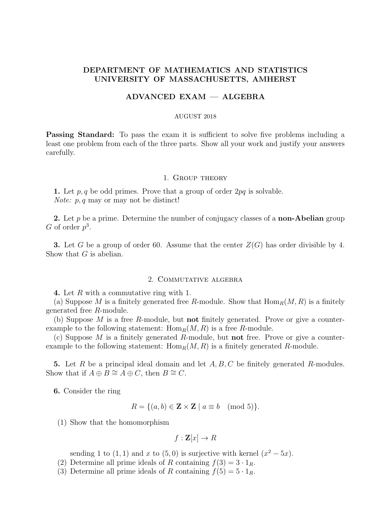# DEPARTMENT OF MATHEMATICS AND STATISTICS UNIVERSITY OF MASSACHUSETTS, AMHERST

## ADVANCED EXAM — ALGEBRA

#### AUGUST 2018

**Passing Standard:** To pass the exam it is sufficient to solve five problems including a least one problem from each of the three parts. Show all your work and justify your answers carefully.

### 1. Group theory

1. Let p, q be odd primes. Prove that a group of order  $2pq$  is solvable. Note:  $p, q$  may or may not be distinct!

2. Let  $p$  be a prime. Determine the number of conjugacy classes of a **non-Abelian** group G of order  $p^3$ .

**3.** Let G be a group of order 60. Assume that the center  $Z(G)$  has order divisible by 4. Show that  $G$  is abelian.

## 2. Commutative algebra

4. Let R with a commutative ring with 1.

(a) Suppose M is a finitely generated free R-module. Show that  $\text{Hom}_R(M, R)$  is a finitely generated free R-module.

(b) Suppose M is a free R-module, but **not** finitely generated. Prove or give a counterexample to the following statement:  $\text{Hom}_R(M, R)$  is a free R-module.

(c) Suppose M is a finitely generated R-module, but not free. Prove or give a counterexample to the following statement:  $\text{Hom}_R(M, R)$  is a finitely generated R-module.

5. Let R be a principal ideal domain and let  $A, B, C$  be finitely generated R-modules. Show that if  $A \oplus B \cong A \oplus C$ , then  $B \cong C$ .

6. Consider the ring

$$
R = \{(a, b) \in \mathbf{Z} \times \mathbf{Z} \mid a \equiv b \pmod{5}\}.
$$

(1) Show that the homomorphism

$$
f: \mathbf{Z}[x] \to R
$$

sending 1 to  $(1,1)$  and x to  $(5,0)$  is surjective with kernel  $(x^2 - 5x)$ .

- (2) Determine all prime ideals of R containing  $f(3) = 3 \cdot 1_R$ .
- (3) Determine all prime ideals of R containing  $f(5) = 5 \cdot 1_R$ .